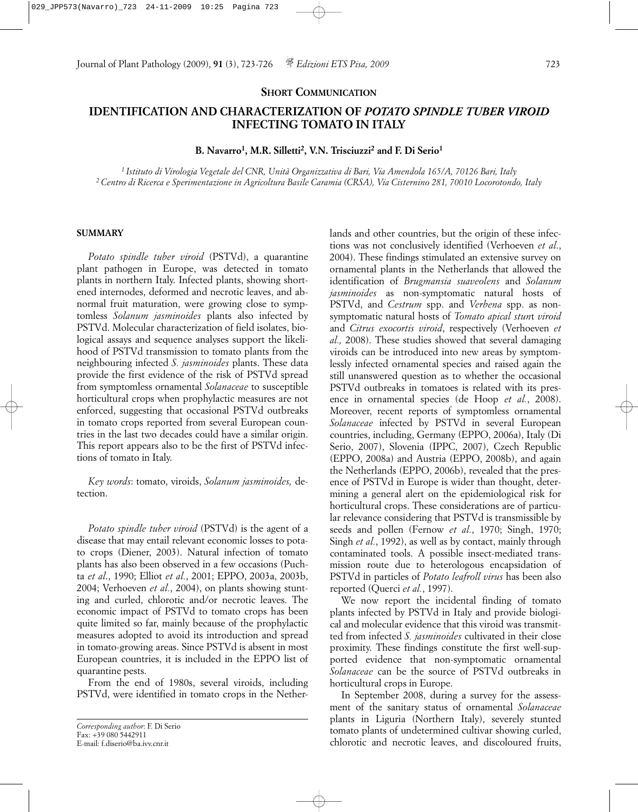### **SHORT COMMUNICATION**

# **IDENTIFICATION AND CHARACTERIZATION OF** *POTATO SPINDLE TUBER VIROID* **INFECTING TOMATO IN ITALY**

**B. Navarro1, M.R. Silletti2, V.N. Trisciuzzi2 and F. Di Serio1**

*1 Istituto di Virologia Vegetale del CNR, Unità Organizzativa di Bari, Via Amendola 165/A, 70126 Bari, Italy 2 Centro di Ricerca e Sperimentazione in Agricoltura Basile Caramia (CRSA), Via Cisternino 281, 70010 Locorotondo, Italy*

#### **SUMMARY**

*Potato spindle tuber viroid* (PSTVd), a quarantine plant pathogen in Europe, was detected in tomato plants in northern Italy. Infected plants, showing shortened internodes, deformed and necrotic leaves, and abnormal fruit maturation, were growing close to symptomless *Solanum jasminoides* plants also infected by PSTVd. Molecular characterization of field isolates, biological assays and sequence analyses support the likelihood of PSTVd transmission to tomato plants from the neighbouring infected *S. jasminoides* plants. These data provide the first evidence of the risk of PSTVd spread from symptomless ornamental *Solanaceae* to susceptible horticultural crops when prophylactic measures are not enforced, suggesting that occasional PSTVd outbreaks in tomato crops reported from several European countries in the last two decades could have a similar origin. This report appears also to be the first of PSTVd infections of tomato in Italy.

*Key words*: tomato, viroids, *Solanum jasminoides,* detection.

*Potato spindle tuber viroid* (PSTVd) is the agent of a disease that may entail relevant economic losses to potato crops (Diener, 2003). Natural infection of tomato plants has also been observed in a few occasions (Puchta *et al*., 1990; Elliot *et al.*, 2001; EPPO, 2003a, 2003b, 2004; Verhoeven *et al.*, 2004), on plants showing stunting and curled, chlorotic and/or necrotic leaves. The economic impact of PSTVd to tomato crops has been quite limited so far, mainly because of the prophylactic measures adopted to avoid its introduction and spread in tomato-growing areas. Since PSTVd is absent in most European countries, it is included in the EPPO list of quarantine pests.

From the end of 1980s, several viroids, including PSTVd, were identified in tomato crops in the Nether-

lands and other countries, but the origin of these infections was not conclusively identified (Verhoeven *et al*., 2004). These findings stimulated an extensive survey on ornamental plants in the Netherlands that allowed the identification of *Brugmansia suaveolens* and *Solanum jasminoides* as non-symptomatic natural hosts of PSTVd, and *Cestrum* spp. and *Verbena* spp. as nonsymptomatic natural hosts of *Tomato apical stun*t *viroid* and *Citrus exocortis viroid*, respectively (Verhoeven *et al.,* 2008). These studies showed that several damaging viroids can be introduced into new areas by symptomlessly infected ornamental species and raised again the still unanswered question as to whether the occasional PSTVd outbreaks in tomatoes is related with its presence in ornamental species (de Hoop *et al.*, 2008). Moreover, recent reports of symptomless ornamental *Solanaceae* infected by PSTVd in several European countries, including, Germany (EPPO, 2006a), Italy (Di Serio, 2007), Slovenia (IPPC, 2007), Czech Republic (EPPO, 2008a) and Austria (EPPO, 2008b), and again the Netherlands (EPPO, 2006b), revealed that the presence of PSTVd in Europe is wider than thought, determining a general alert on the epidemiological risk for horticultural crops. These considerations are of particular relevance considering that PSTVd is transmissible by seeds and pollen (Fernow *et al.*, 1970; Singh, 1970; Singh *et al.*, 1992), as well as by contact, mainly through contaminated tools. A possible insect-mediated transmission route due to heterologous encapsidation of PSTVd in particles of *Potato leafroll virus* has been also reported (Querci *et al.*, 1997).

We now report the incidental finding of tomato plants infected by PSTVd in Italy and provide biological and molecular evidence that this viroid was transmitted from infected *S. jasminoides* cultivated in their close proximity. These findings constitute the first well-supported evidence that non-symptomatic ornamental *Solanaceae* can be the source of PSTVd outbreaks in horticultural crops in Europe.

In September 2008, during a survey for the assessment of the sanitary status of ornamental *Solanaceae* plants in Liguria (Northern Italy), severely stunted tomato plants of undetermined cultivar showing curled, chlorotic and necrotic leaves, and discoloured fruits,

*Corresponding author*: F. Di Serio  $Fax: +390805442911$ E-mail: f.diserio@ba.ivv.cnr.it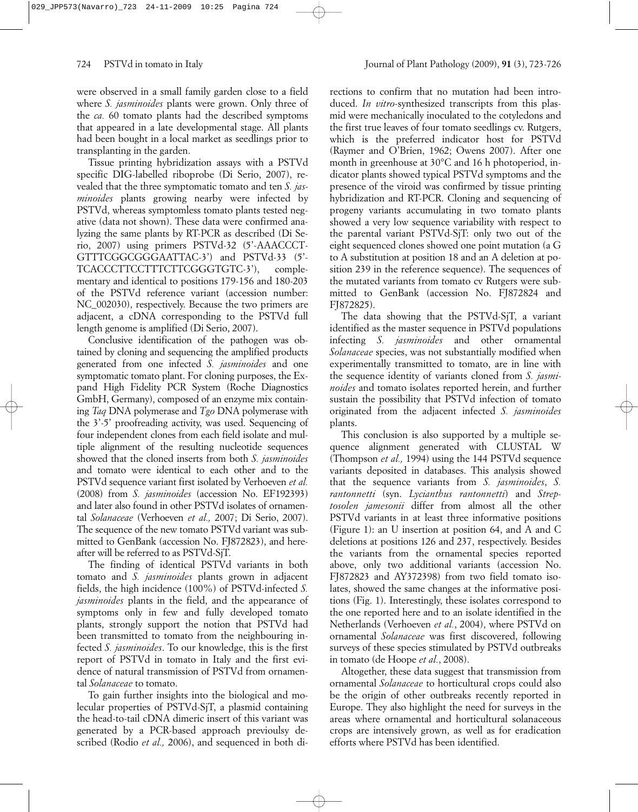were observed in a small family garden close to a field where *S. jasminoides* plants were grown. Only three of the *ca.* 60 tomato plants had the described symptoms that appeared in a late developmental stage. All plants had been bought in a local market as seedlings prior to transplanting in the garden.

Tissue printing hybridization assays with a PSTVd specific DIG-labelled riboprobe (Di Serio, 2007), revealed that the three symptomatic tomato and ten *S. jasminoides* plants growing nearby were infected by PSTVd, whereas symptomless tomato plants tested negative (data not shown). These data were confirmed analyzing the same plants by RT-PCR as described (Di Serio, 2007) using primers PSTVd-32 (5'-AAACCCT-GTTTCGGCGGGAATTAC-3') and PSTVd-33 (5'- TCACCCTTCCTTTCTTCGGGTGTC-3'), complementary and identical to positions 179-156 and 180-203 of the PSTVd reference variant (accession number: NC 002030), respectively. Because the two primers are adjacent, a cDNA corresponding to the PSTVd full length genome is amplified (Di Serio, 2007).

Conclusive identification of the pathogen was obtained by cloning and sequencing the amplified products generated from one infected *S. jasminoides* and one symptomatic tomato plant. For cloning purposes, the Expand High Fidelity PCR System (Roche Diagnostics GmbH, Germany), composed of an enzyme mix containing *Taq* DNA polymerase and *Tgo* DNA polymerase with the 3'-5' proofreading activity, was used. Sequencing of four independent clones from each field isolate and multiple alignment of the resulting nucleotide sequences showed that the cloned inserts from both *S. jasminoides* and tomato were identical to each other and to the PSTVd sequence variant first isolated by Verhoeven *et al.* (2008) from *S. jasminoides* (accession No. EF192393) and later also found in other PSTVd isolates of ornamental *Solanaceae* (Verhoeven *et al.,* 2007; Di Serio, 2007). The sequence of the new tomato PSTVd variant was submitted to GenBank (accession No. FJ872823), and hereafter will be referred to as PSTVd-SjT.

The finding of identical PSTVd variants in both tomato and *S. jasminoides* plants grown in adjacent fields, the high incidence (100%) of PSTVd-infected *S. jasminoides* plants in the field, and the appearance of symptoms only in few and fully developed tomato plants, strongly support the notion that PSTVd had been transmitted to tomato from the neighbouring infected *S. jasminoides*. To our knowledge, this is the first report of PSTVd in tomato in Italy and the first evidence of natural transmission of PSTVd from ornamental *Solanaceae* to tomato.

To gain further insights into the biological and molecular properties of PSTVd-SjT, a plasmid containing the head-to-tail cDNA dimeric insert of this variant was generated by a PCR-based approach previoulsy described (Rodio *et al.,* 2006), and sequenced in both directions to confirm that no mutation had been introduced. *In vitro*-synthesized transcripts from this plasmid were mechanically inoculated to the cotyledons and the first true leaves of four tomato seedlings cv. Rutgers, which is the preferred indicator host for PSTVd (Raymer and O'Brien, 1962; Owens 2007). After one month in greenhouse at 30°C and 16 h photoperiod, indicator plants showed typical PSTVd symptoms and the presence of the viroid was confirmed by tissue printing hybridization and RT-PCR. Cloning and sequencing of progeny variants accumulating in two tomato plants showed a very low sequence variability with respect to the parental variant PSTVd-SjT: only two out of the eight sequenced clones showed one point mutation (a G to A substitution at position 18 and an A deletion at position 239 in the reference sequence). The sequences of the mutated variants from tomato cv Rutgers were submitted to GenBank (accession No. FJ872824 and FJ872825).

The data showing that the PSTVd-SjT, a variant identified as the master sequence in PSTVd populations infecting *S. jasminoides* and other ornamental *Solanaceae* species, was not substantially modified when experimentally transmitted to tomato, are in line with the sequence identity of variants cloned from *S. jasminoides* and tomato isolates reported herein, and further sustain the possibility that PSTVd infection of tomato originated from the adjacent infected *S. jasminoides* plants.

This conclusion is also supported by a multiple sequence alignment generated with CLUSTAL W (Thompson *et al.,* 1994) using the 144 PSTVd sequence variants deposited in databases. This analysis showed that the sequence variants from *S. jasminoides*, *S. rantonnetti* (syn. *Lycianthus rantonnetti*) and *Streptosolen jamesonii* differ from almost all the other PSTVd variants in at least three informative positions (Figure 1): an U insertion at position 64, and A and C deletions at positions 126 and 237, respectively. Besides the variants from the ornamental species reported above, only two additional variants (accession No. FJ872823 and AY372398) from two field tomato isolates, showed the same changes at the informative positions (Fig. 1). Interestingly, these isolates correspond to the one reported here and to an isolate identified in the Netherlands (Verhoeven *et al.*, 2004), where PSTVd on ornamental *Solanaceae* was first discovered, following surveys of these species stimulated by PSTVd outbreaks in tomato (de Hoope *et al.*, 2008).

Altogether, these data suggest that transmission from ornamental *Solanaceae* to horticultural crops could also be the origin of other outbreaks recently reported in Europe. They also highlight the need for surveys in the areas where ornamental and horticultural solanaceous crops are intensively grown, as well as for eradication efforts where PSTVd has been identified.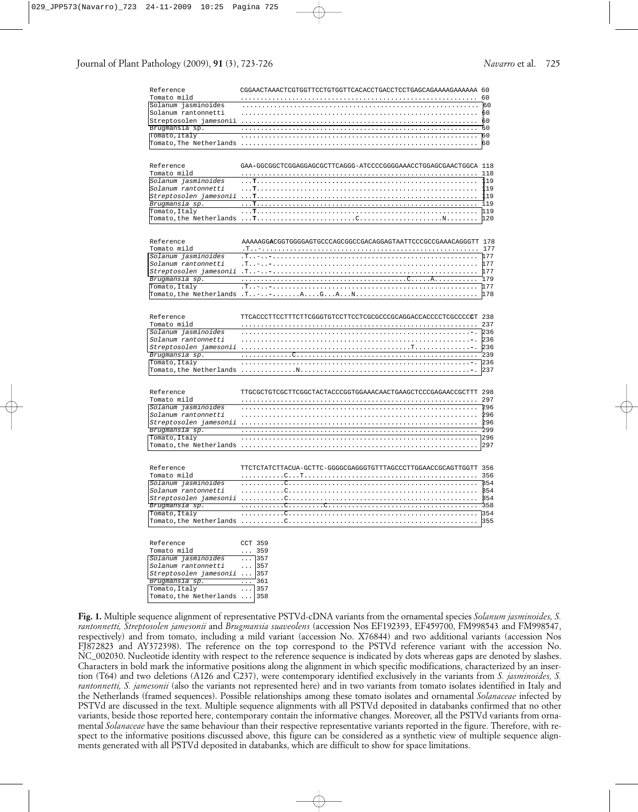| Reference               | CGGAACTAAACTCGTGGTTCCTGTGGTTCACACCTGACCTCCTGAGCAGAAAAGAAAAAA 60  |             |
|-------------------------|------------------------------------------------------------------|-------------|
| Tomato mild             |                                                                  | 60          |
| Solanum jasminoides     |                                                                  | 60          |
| Solanum rantonnetti     |                                                                  | 60          |
|                         |                                                                  | 60          |
| Brugmansia sp.          |                                                                  | 60          |
| Tomato, Italy           |                                                                  | 60          |
| Tomato, The Netherlands |                                                                  | 60          |
|                         |                                                                  |             |
|                         |                                                                  |             |
| Reference               | GAA-GGCGGCTCGGAGGAGCGCTTCAGGG-ATCCCCGGGGAAACCTGGAGCGAACTGGCA 118 |             |
|                         |                                                                  |             |
| Tomato mild             |                                                                  | 118         |
| Solanum jasminoides     |                                                                  | 119         |
| Solanum rantonnetti     |                                                                  | 119         |
| Streptosolen jamesonii  |                                                                  | 119         |
| Brugmansia sp.          |                                                                  | 119         |
| Tomato, Italy           |                                                                  | 119         |
| Tomato, the Netherlands |                                                                  | 120         |
|                         |                                                                  |             |
|                         |                                                                  |             |
| Reference               | AAAAAGGACGGTGGGGAGTGCCCAGCGGCCGACAGGAGTAATTCCCGCCGAAACAGGGTT 178 |             |
| Tomato mild             |                                                                  | 177         |
| Solanum jasminoides     |                                                                  | 1 7 7       |
| Solanum rantonnetti     | $T: -1 - 1 - 1 - 1 - 1$                                          | 177         |
| Streptosolen jamesonii  |                                                                  | 177         |
| Brugmansia sp.          |                                                                  | 179         |
| Tomato, Italy           |                                                                  | 177         |
| Tomato, the Netherlands | $T_{1}, - - - T_{n}$                                             | 178         |
|                         |                                                                  |             |
|                         |                                                                  |             |
| Reference               | TTCACCCTTCCTTTCTTCGGGTGTCCTTCCTCGCGCCCGCAGGACCACCCCTCGCCCCCT 238 |             |
|                         |                                                                  |             |
| Tomato mild             |                                                                  | 237         |
| Solanum jasminoides     |                                                                  | 236         |
| Solanum rantonnetti     |                                                                  | 236         |
| Streptosolen jamesonii  |                                                                  | 236         |
| Brugmansia sp.          |                                                                  | 239         |
| Tomato, Italy           |                                                                  | 236         |
| Tomato, the Netherlands |                                                                  | 237         |
|                         |                                                                  |             |
|                         |                                                                  |             |
| Reference               | TTGCGCTGTCGCTTCGGCTACTACCCGGTGGAAACAACTGAAGCTCCCGAGAACCGCTTT 298 |             |
| Tomato mild             |                                                                  | 297         |
| Solanum jasminoides     |                                                                  | 296         |
| Solanum rantonnetti     |                                                                  | 296         |
| Streptosolen jamesonii  |                                                                  | 296         |
| Brugmansia sp.          |                                                                  | 299         |
| Tomato, Italy           |                                                                  |             |
| Tomato, the Netherlands |                                                                  | 297         |
|                         |                                                                  |             |
|                         |                                                                  |             |
| Reference               | TTCTCTATCTTACUA-GCTTC-GGGGCGAGGGTGTTTAGCCCTTGGAACCGCAGTTGGTT 356 |             |
|                         |                                                                  |             |
| Tomato mild             |                                                                  |             |
| Solanum jasminoides     |                                                                  | B54         |
| Solanum rantonnetti     |                                                                  | <b>B</b> 54 |
|                         |                                                                  | <b>B54</b>  |
| Brugmansia sp.          |                                                                  | 358         |
| Tomato, Italy           |                                                                  | 1354        |
| Tomato, the Netherlands |                                                                  | 355         |
|                         |                                                                  |             |
|                         |                                                                  |             |
| Reference               | CCT 359                                                          |             |
| Tomato mild             | $\ldots$ 359                                                     |             |
| Solanum jasminoides     | $\ldots$ 357                                                     |             |
| $0.1$ count routaneatt: | 257                                                              |             |

| Solanum jasminoides          |  | $\ldots$  357 |
|------------------------------|--|---------------|
| Solanum rantonnetti          |  | 357           |
| Streptosolen jamesonii       |  | $\ldots$ 357  |
| Brugmansia sp.               |  | 361           |
| Tomato, Italy                |  | 357           |
| Tomato, the Netherlands  358 |  |               |

**Fig. 1.** Multiple sequence alignment of representative PSTVd-cDNA variants from the ornamental species *Solanum jasminoides, S. rantonnetti, Streptosolen jamesonii* and *Brugmansia suaveolens* (accession Nos EF192393, EF459700, FM998543 and FM998547, respectively) and from tomato, including a mild variant (accession No. X76844) and two additional variants (accession Nos FJ872823 and AY372398). The reference on the top correspond to the PSTVd reference variant with the accession No. NC\_002030. Nucleotide identity with respect to the reference sequence is indicated by dots whereas gaps are denoted by slashes. Characters in bold mark the informative positions along the alignment in which specific modifications, characterized by an insertion (T64) and two deletions (A126 and C237), were contemporary identified exclusively in the variants from *S. jasminoides, S. rantonnetti, S. jamesonii* (also the variants not represented here) and in two variants from tomato isolates identified in Italy and the Netherlands (framed sequences). Possible relationships among these tomato isolates and ornamental *Solanaceae* infected by PSTVd are discussed in the text. Multiple sequence alignments with all PSTVd deposited in databanks confirmed that no other variants, beside those reported here, contemporary contain the informative changes. Moreover, all the PSTVd variants from ornamental *Solanaceae* have the same behaviour than their respective representative variants reported in the figure. Therefore, with respect to the informative positions discussed above, this figure can be considered as a synthetic view of multiple sequence alignments generated with all PSTVd deposited in databanks, which are difficult to show for space limitations.